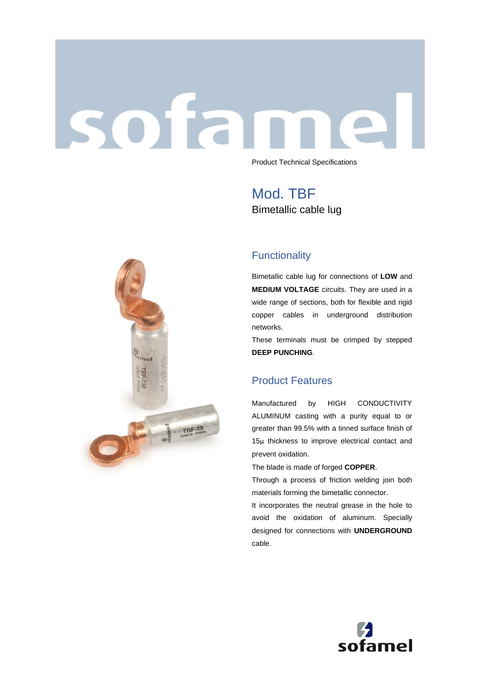# sofar Product Technical Specifications

Mod. TBF Bimetallic cable lug



Bimetallic cable lug for connections of **LOW** and **MEDIUM VOLTAGE** circuits. They are used in a wide range of sections, both for flexible and rigid copper cables in underground distribution networks.

These terminals must be crimped by stepped **DEEP PUNCHING**.

# Product Features

Manufactured by HIGH CONDUCTIVITY ALUMINUM casting with a purity equal to or greater than 99.5% with a tinned surface finish of 15μ thickness to improve electrical contact and prevent oxidation.

The blade is made of forged **COPPER**.

Through a process of friction welding join both materials forming the bimetallic connector.

It incorporates the neutral grease in the hole to avoid the oxidation of aluminum. Specially designed for connections with **UNDERGROUND**  cable.